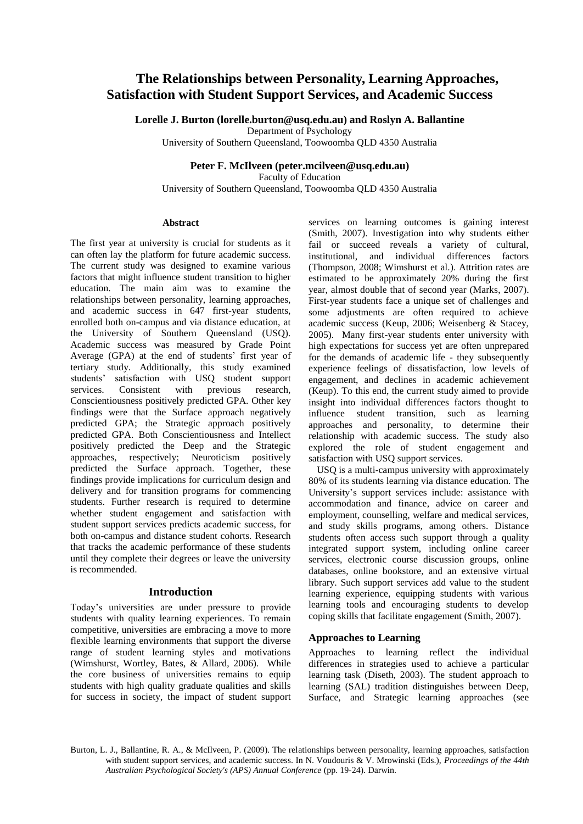# **The Relationships between Personality, Learning Approaches, Satisfaction with Student Support Services, and Academic Success**

**Lorelle J. Burton [\(lorelle.burton@usq.edu.au\)](mailto:lorelle.burton@usq.edu.au) and Roslyn A. Ballantine**

Department of Psychology

University of Southern Queensland, Toowoomba QLD 4350 Australia

**Peter F. McIlveen (peter.mcilveen@usq.edu.au)**

Faculty of Education University of Southern Queensland, Toowoomba QLD 4350 Australia

#### **Abstract**

The first year at university is crucial for students as it can often lay the platform for future academic success. The current study was designed to examine various factors that might influence student transition to higher education. The main aim was to examine the relationships between personality, learning approaches, and academic success in 647 first-year students, enrolled both on-campus and via distance education, at the University of Southern Queensland (USQ). Academic success was measured by Grade Point Average (GPA) at the end of students' first year of tertiary study. Additionally, this study examined students' satisfaction with USQ student support services. Consistent with previous research, Conscientiousness positively predicted GPA. Other key findings were that the Surface approach negatively predicted GPA; the Strategic approach positively predicted GPA. Both Conscientiousness and Intellect positively predicted the Deep and the Strategic approaches, respectively; Neuroticism positively predicted the Surface approach. Together, these findings provide implications for curriculum design and delivery and for transition programs for commencing students. Further research is required to determine whether student engagement and satisfaction with student support services predicts academic success, for both on-campus and distance student cohorts. Research that tracks the academic performance of these students until they complete their degrees or leave the university is recommended.

# **Introduction**

Today's universities are under pressure to provide students with quality learning experiences. To remain competitive, universities are embracing a move to more flexible learning environments that support the diverse range of student learning styles and motivations (Wimshurst, Wortley, Bates, & Allard, 2006). While the core business of universities remains to equip students with high quality graduate qualities and skills for success in society, the impact of student support

services on learning outcomes is gaining interest (Smith, 2007). Investigation into why students either fail or succeed reveals a variety of cultural, institutional, and individual differences factors (Thompson, 2008; Wimshurst et al.). Attrition rates are estimated to be approximately 20% during the first year, almost double that of second year (Marks, 2007). First-year students face a unique set of challenges and some adjustments are often required to achieve academic success (Keup, 2006; Weisenberg & Stacey, 2005). Many first-year students enter university with high expectations for success yet are often unprepared for the demands of academic life - they subsequently experience feelings of dissatisfaction, low levels of engagement, and declines in academic achievement (Keup). To this end, the current study aimed to provide insight into individual differences factors thought to influence student transition, such as learning approaches and personality, to determine their relationship with academic success. The study also explored the role of student engagement and satisfaction with USQ support services.

USQ is a multi-campus university with approximately 80% of its students learning via distance education. The University's support services include: assistance with accommodation and finance, advice on career and employment, counselling, welfare and medical services, and study skills programs, among others. Distance students often access such support through a quality integrated support system, including online career services, electronic course discussion groups, online databases, online bookstore, and an extensive virtual library. Such support services add value to the student learning experience, equipping students with various learning tools and encouraging students to develop coping skills that facilitate engagement (Smith, 2007).

# **Approaches to Learning**

Approaches to learning reflect the individual differences in strategies used to achieve a particular learning task (Diseth, 2003). The student approach to learning (SAL) tradition distinguishes between Deep, Surface, and Strategic learning approaches (see

Burton, L. J., Ballantine, R. A., & McIlveen, P. (2009). The relationships between personality, learning approaches, satisfaction with student support services, and academic success. In N. Voudouris & V. Mrowinski (Eds.), *Proceedings of the 44th Australian Psychological Society's (APS) Annual Conference* (pp. 19-24). Darwin.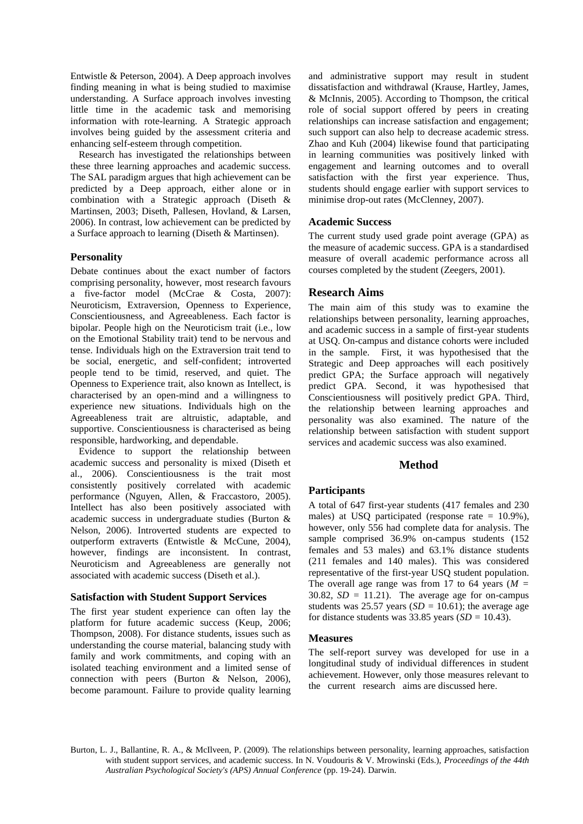Entwistle & Peterson, 2004). A Deep approach involves finding meaning in what is being studied to maximise understanding. A Surface approach involves investing little time in the academic task and memorising information with rote-learning. A Strategic approach involves being guided by the assessment criteria and enhancing self-esteem through competition.

Research has investigated the relationships between these three learning approaches and academic success. The SAL paradigm argues that high achievement can be predicted by a Deep approach, either alone or in combination with a Strategic approach (Diseth & Martinsen, 2003; Diseth, Pallesen, Hovland, & Larsen, 2006). In contrast, low achievement can be predicted by a Surface approach to learning (Diseth & Martinsen).

# **Personality**

Debate continues about the exact number of factors comprising personality, however, most research favours a five-factor model (McCrae & Costa, 2007): Neuroticism, Extraversion, Openness to Experience, Conscientiousness, and Agreeableness. Each factor is bipolar. People high on the Neuroticism trait (i.e., low on the Emotional Stability trait) tend to be nervous and tense. Individuals high on the Extraversion trait tend to be social, energetic, and self-confident; introverted people tend to be timid, reserved, and quiet. The Openness to Experience trait, also known as Intellect, is characterised by an open-mind and a willingness to experience new situations. Individuals high on the Agreeableness trait are altruistic, adaptable, and supportive. Conscientiousness is characterised as being responsible, hardworking, and dependable.

Evidence to support the relationship between academic success and personality is mixed (Diseth et al., 2006). Conscientiousness is the trait most consistently positively correlated with academic performance (Nguyen, Allen, & Fraccastoro, 2005). Intellect has also been positively associated with academic success in undergraduate studies (Burton & Nelson, 2006). Introverted students are expected to outperform extraverts (Entwistle & McCune, 2004), however, findings are inconsistent. In contrast, Neuroticism and Agreeableness are generally not associated with academic success (Diseth et al.).

# **Satisfaction with Student Support Services**

The first year student experience can often lay the platform for future academic success (Keup, 2006; Thompson, 2008). For distance students, issues such as understanding the course material, balancing study with family and work commitments, and coping with an isolated teaching environment and a limited sense of connection with peers (Burton & Nelson, 2006), become paramount. Failure to provide quality learning

and administrative support may result in student dissatisfaction and withdrawal (Krause, Hartley, James, & McInnis, 2005). According to Thompson, the critical role of social support offered by peers in creating relationships can increase satisfaction and engagement; such support can also help to decrease academic stress. Zhao and Kuh (2004) likewise found that participating in learning communities was positively linked with engagement and learning outcomes and to overall satisfaction with the first year experience. Thus, students should engage earlier with support services to minimise drop-out rates (McClenney, 2007).

# **Academic Success**

The current study used grade point average (GPA) as the measure of academic success. GPA is a standardised measure of overall academic performance across all courses completed by the student (Zeegers, 2001).

# **Research Aims**

The main aim of this study was to examine the relationships between personality, learning approaches, and academic success in a sample of first-year students at USQ. On-campus and distance cohorts were included in the sample. First, it was hypothesised that the Strategic and Deep approaches will each positively predict GPA; the Surface approach will negatively predict GPA. Second, it was hypothesised that Conscientiousness will positively predict GPA. Third, the relationship between learning approaches and personality was also examined. The nature of the relationship between satisfaction with student support services and academic success was also examined.

# **Method**

# **Participants**

A total of 647 first-year students (417 females and 230 males) at USQ participated (response rate  $= 10.9\%$ ), however, only 556 had complete data for analysis. The sample comprised 36.9% on-campus students (152 females and 53 males) and 63.1% distance students (211 females and 140 males). This was considered representative of the first-year USQ student population. The overall age range was from 17 to 64 years ( $M =$ 30.82,  $SD = 11.21$ ). The average age for on-campus students was 25.57 years ( $SD = 10.61$ ); the average age for distance students was 33.85 years (*SD =* 10.43).

# **Measures**

The self-report survey was developed for use in a longitudinal study of individual differences in student achievement. However, only those measures relevant to the current research aims are discussed here.

Burton, L. J., Ballantine, R. A., & McIlveen, P. (2009). The relationships between personality, learning approaches, satisfaction with student support services, and academic success. In N. Voudouris & V. Mrowinski (Eds.), *Proceedings of the 44th Australian Psychological Society's (APS) Annual Conference* (pp. 19-24). Darwin.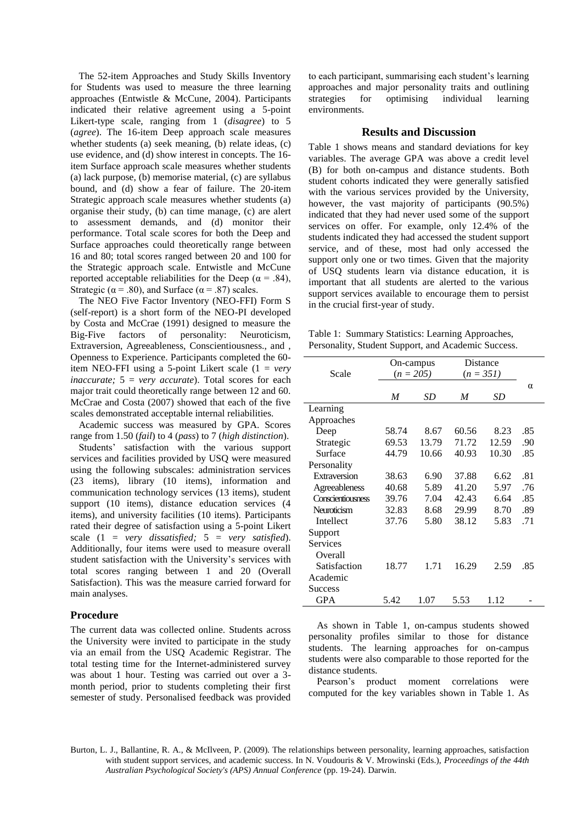The 52-item Approaches and Study Skills Inventory for Students was used to measure the three learning approaches (Entwistle & McCune, 2004). Participants indicated their relative agreement using a 5-point Likert-type scale, ranging from 1 (*disagree*) to 5 (*agree*). The 16-item Deep approach scale measures whether students (a) seek meaning, (b) relate ideas, (c) use evidence, and (d) show interest in concepts. The 16 item Surface approach scale measures whether students (a) lack purpose, (b) memorise material, (c) are syllabus bound, and (d) show a fear of failure. The 20-item Strategic approach scale measures whether students (a) organise their study, (b) can time manage, (c) are alert to assessment demands, and (d) monitor their performance. Total scale scores for both the Deep and Surface approaches could theoretically range between 16 and 80; total scores ranged between 20 and 100 for the Strategic approach scale. Entwistle and McCune reported acceptable reliabilities for the Deep ( $\alpha$  = .84), Strategic ( $\alpha$  = .80), and Surface ( $\alpha$  = .87) scales.

The NEO Five Factor Inventory (NEO-FFI) Form S (self-report) is a short form of the NEO-PI developed by Costa and McCrae (1991) designed to measure the Big-Five factors of personality: Neuroticism, Extraversion, Agreeableness, Conscientiousness., and , Openness to Experience. Participants completed the 60 item NEO-FFI using a 5-point Likert scale (1 = *very inaccurate;* 5 = *very accurate*). Total scores for each major trait could theoretically range between 12 and 60. McCrae and Costa (2007) showed that each of the five scales demonstrated acceptable internal reliabilities.

Academic success was measured by GPA. Scores range from 1.50 (*fail*) to 4 (*pass*) to 7 (*high distinction*). Students' satisfaction with the various support services and facilities provided by USQ were measured using the following subscales: administration services (23 items), library (10 items), information and communication technology services (13 items), student support (10 items), distance education services (4 items), and university facilities (10 items). Participants rated their degree of satisfaction using a 5-point Likert scale (1 = *very dissatisfied;* 5 = *very satisfied*). Additionally, four items were used to measure overall student satisfaction with the University's services with total scores ranging between 1 and 20 (Overall Satisfaction). This was the measure carried forward for main analyses.

### **Procedure**

The current data was collected online. Students across the University were invited to participate in the study via an email from the USQ Academic Registrar. The total testing time for the Internet-administered survey was about 1 hour. Testing was carried out over a 3 month period, prior to students completing their first semester of study. Personalised feedback was provided

to each participant, summarising each student's learning approaches and major personality traits and outlining strategies for optimising individual learning environments.

#### **Results and Discussion**

Table 1 shows means and standard deviations for key variables. The average GPA was above a credit level (B) for both on-campus and distance students. Both student cohorts indicated they were generally satisfied with the various services provided by the University, however, the vast majority of participants (90.5%) indicated that they had never used some of the support services on offer. For example, only 12.4% of the students indicated they had accessed the student support service, and of these, most had only accessed the support only one or two times. Given that the majority of USQ students learn via distance education, it is important that all students are alerted to the various support services available to encourage them to persist in the crucial first-year of study.

Table 1: Summary Statistics: Learning Approaches, Personality, Student Support, and Academic Success.

|                   |       | On-campus   | Distance    |       |          |
|-------------------|-------|-------------|-------------|-------|----------|
| Scale             |       | $(n = 205)$ | $(n = 351)$ |       |          |
|                   |       |             |             |       | $\alpha$ |
|                   | M     | <b>SD</b>   | M           | SD    |          |
| Learning          |       |             |             |       |          |
| Approaches        |       |             |             |       |          |
| Deep              | 58.74 | 8.67        | 60.56       | 8.23  | .85      |
| Strategic         | 69.53 | 13.79       | 71.72       | 12.59 | .90      |
| Surface           | 44.79 | 10.66       | 40.93       | 10.30 | .85      |
| Personality       |       |             |             |       |          |
| Extraversion      | 38.63 | 6.90        | 37.88       | 6.62  | .81      |
| Agreeableness     | 40.68 | 5.89        | 41.20       | 5.97  | .76      |
| Conscientiousness | 39.76 | 7.04        | 42.43       | 6.64  | .85      |
| Neuroticism       | 32.83 | 8.68        | 29.99       | 8.70  | .89      |
| Intellect         | 37.76 | 5.80        | 38.12       | 5.83  | .71      |
| Support           |       |             |             |       |          |
| Services          |       |             |             |       |          |
| Overall           |       |             |             |       |          |
| Satisfaction      | 18.77 | 1.71        | 16.29       | 2.59  | .85      |
| Academic          |       |             |             |       |          |
| Success           |       |             |             |       |          |
| <b>GPA</b>        | 5.42  | 1.07        | 5.53        | 1.12  |          |

As shown in Table 1, on-campus students showed personality profiles similar to those for distance students. The learning approaches for on-campus students were also comparable to those reported for the distance students.

Pearson's product moment correlations were computed for the key variables shown in Table 1. As

Burton, L. J., Ballantine, R. A., & McIlveen, P. (2009). The relationships between personality, learning approaches, satisfaction with student support services, and academic success. In N. Voudouris & V. Mrowinski (Eds.), *Proceedings of the 44th Australian Psychological Society's (APS) Annual Conference* (pp. 19-24). Darwin.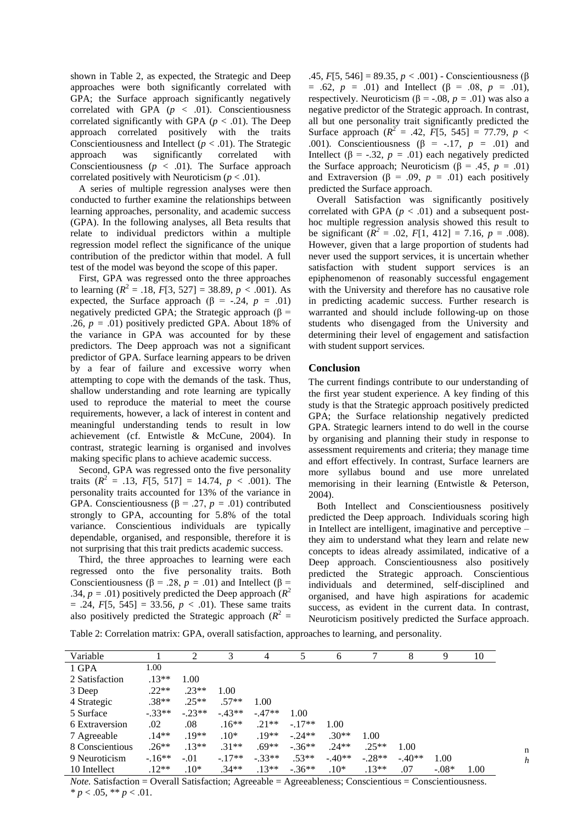shown in Table 2, as expected, the Strategic and Deep approaches were both significantly correlated with GPA; the Surface approach significantly negatively correlated with GPA  $(p < .01)$ . Conscientiousness correlated significantly with GPA  $(p < .01)$ . The Deep approach correlated positively with the traits Conscientiousness and Intellect ( $p < .01$ ). The Strategic approach was significantly correlated with Conscientiousness  $(p < .01)$ . The Surface approach correlated positively with Neuroticism  $(p < .01)$ .

A series of multiple regression analyses were then conducted to further examine the relationships between learning approaches, personality, and academic success (GPA). In the following analyses, all Beta results that relate to individual predictors within a multiple regression model reflect the significance of the unique contribution of the predictor within that model. A full test of the model was beyond the scope of this paper.

First, GPA was regressed onto the three approaches to learning  $(R^2 = .18, F[3, 527] = 38.89, p < .001)$ . As expected, the Surface approach ( $\beta$  = -.24, *p* = .01) negatively predicted GPA; the Strategic approach (β = .26,  $p = .01$ ) positively predicted GPA. About 18% of the variance in GPA was accounted for by these predictors. The Deep approach was not a significant predictor of GPA. Surface learning appears to be driven by a fear of failure and excessive worry when attempting to cope with the demands of the task. Thus, shallow understanding and rote learning are typically used to reproduce the material to meet the course requirements, however, a lack of interest in content and meaningful understanding tends to result in low achievement (cf. Entwistle & McCune, 2004). In contrast, strategic learning is organised and involves making specific plans to achieve academic success.

Second, GPA was regressed onto the five personality traits  $(R^2 = .13, F[5, 517] = 14.74, p < .001$ ). The personality traits accounted for 13% of the variance in GPA. Conscientiousness ( $\beta$  = .27, *p* = .01) contributed strongly to GPA, accounting for 5.8% of the total variance. Conscientious individuals are typically dependable, organised, and responsible, therefore it is not surprising that this trait predicts academic success.

Third, the three approaches to learning were each regressed onto the five personality traits. Both Conscientiousness ( $\beta$  = .28, *p* = .01) and Intellect ( $\beta$  = .34,  $p = .01$ ) positively predicted the Deep approach ( $R^2$ )  $= .24, F[5, 545] = 33.56, p < .01$ . These same traits also positively predicted the Strategic approach  $(R^2 =$ 

.45, *F*[5, 546] = 89.35, *p <* .001) - Conscientiousness (β  $= .62, p = .01$  and Intellect (β = .08, *p* = .01), respectively. Neuroticism ( $\beta$  = -.08,  $p = .01$ ) was also a negative predictor of the Strategic approach. In contrast, all but one personality trait significantly predicted the Surface approach  $(R^2 = .42, F[5, 545] = 77.79, p <$ .001). Conscientiousness ( $\beta$  = -.17,  $p$  = .01) and Intellect ( $\beta$  = -.32,  $p = .01$ ) each negatively predicted the Surface approach; Neuroticism (β = .45,  $p = .01$ ) and Extraversion ( $\beta$  = .09,  $p$  = .01) each positively predicted the Surface approach.

Overall Satisfaction was significantly positively correlated with GPA ( $p < .01$ ) and a subsequent posthoc multiple regression analysis showed this result to be significant  $(R^2 = .02, F[1, 412] = 7.16, p = .008)$ . However, given that a large proportion of students had never used the support services, it is uncertain whether satisfaction with student support services is an epiphenomenon of reasonably successful engagement with the University and therefore has no causative role in predicting academic success. Further research is warranted and should include following-up on those students who disengaged from the University and determining their level of engagement and satisfaction with student support services.

# **Conclusion**

The current findings contribute to our understanding of the first year student experience. A key finding of this study is that the Strategic approach positively predicted GPA; the Surface relationship negatively predicted GPA. Strategic learners intend to do well in the course by organising and planning their study in response to assessment requirements and criteria; they manage time and effort effectively. In contrast, Surface learners are more syllabus bound and use more unrelated memorising in their learning (Entwistle & Peterson, 2004).

Both Intellect and Conscientiousness positively predicted the Deep approach. Individuals scoring high in Intellect are intelligent, imaginative and perceptive – they aim to understand what they learn and relate new concepts to ideas already assimilated, indicative of a Deep approach. Conscientiousness also positively predicted the Strategic approach. Conscientious individuals and determined, self-disciplined and organised, and have high aspirations for academic success, as evident in the current data. In contrast, Neuroticism positively predicted the Surface approach.

Table 2: Correlation matrix: GPA, overall satisfaction, approaches to learning, and personality.

| Variable        |          | ∍        | 3        | 4        |          | 6        |          | 8        | 9       | 10   |  |
|-----------------|----------|----------|----------|----------|----------|----------|----------|----------|---------|------|--|
| 1 GPA           | 1.00     |          |          |          |          |          |          |          |         |      |  |
| 2 Satisfaction  | $.13**$  | 1.00     |          |          |          |          |          |          |         |      |  |
| 3 Deep          | $.22**$  | $.23**$  | 1.00     |          |          |          |          |          |         |      |  |
| 4 Strategic     | $.38**$  | $.25**$  | $.57**$  | 1.00     |          |          |          |          |         |      |  |
| 5 Surface       | $-.33**$ | $-.23**$ | $-.43**$ | $-.47**$ | 1.00     |          |          |          |         |      |  |
| 6 Extraversion  | .02      | .08      | $.16**$  | $.21**$  | $-.17**$ | 1.00     |          |          |         |      |  |
| 7 Agreeable     | $.14**$  | $.19**$  | $.10*$   | $19**$   | $-.24**$ | $.30**$  | 1.00     |          |         |      |  |
| 8 Conscientious | $.26**$  | $.13**$  | $.31**$  | $.69**$  | $-.36**$ | $.24**$  | $.25**$  | 1.00     |         |      |  |
| 9 Neuroticism   | $-16**$  | $-.01$   | $-.17**$ | $-.33**$ | $.53**$  | $-.40**$ | $-.28**$ | $-.40**$ | 1.00    |      |  |
| 10 Intellect    | $.12**$  | $.10*$   | $.34**$  | $.13**$  | $-.36**$ | $.10*$   | $.13**$  | .07      | $-.08*$ | 1.00 |  |

*Note.* Satisfaction = Overall Satisfaction; Agreeable = Agreeableness; Conscientious = Conscientiousness.  $* p < .05, ** p < .01.$